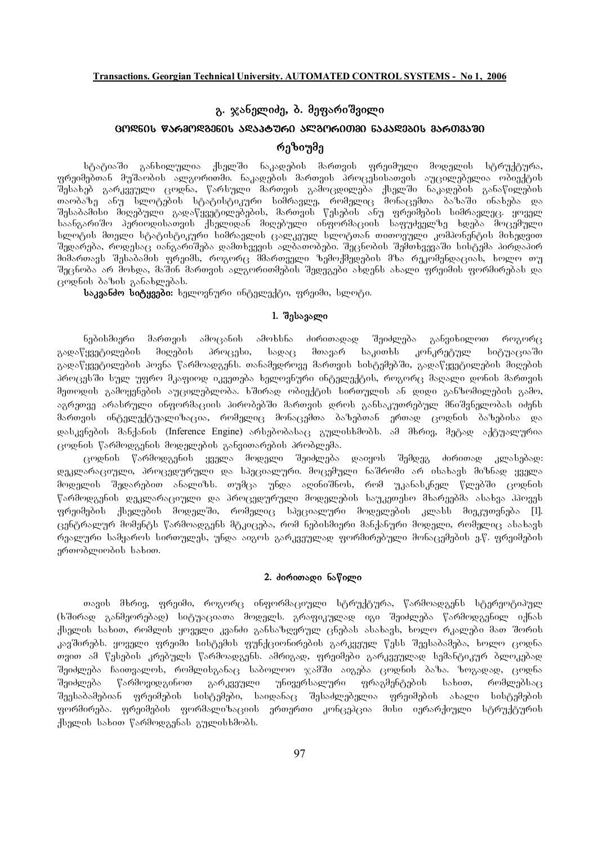# გ. ჯანელიძე, **ბ. მეფარი**შვილი

# GM**ᲓᲜᲘᲡ ᲬᲐᲠᲛᲝᲓᲒᲔᲜᲘᲡ ᲐᲓᲐᲞᲢᲣᲠᲘ ᲐᲚᲒᲝᲠᲘᲗ**ᲛᲘ ᲜᲐᲙᲐᲓᲔᲑᲘᲡ ᲛᲐᲠᲗᲕᲐᲨᲘ რეზიუმე

სტატიაში განხილულია ქსელში ნაკადების მართვის ფრეიმული მოდელის სტრუქტურა, .<br>ფრეიმებთან მუშაობის ალგორითმი. ნაკადების მართვის პროცესისათვის აუცილებელია ობიექტის შესახებ გარკვეული ცოდნა, წარსული მართვის გამოცდილება ქსელში ნაკადების განაწილების თაობაზე ანუ სლოტების სტატისტიკური სიმრავლე, რომელიც მონაცემთა ბაზაში ინახება და შესაბამისი მიღებული გადაწყვეტილებების, მართვის წესების ანუ ფრეიმების სიმრავლეც. ყოველ საანგარიშო პერიოდისათვის ქსელიდან მიღებული ინფორმაციის საფუძველზე ხდება მოცემული სლოტის მთელი სტატისტიკური სიმრავლის ცალკეულ სლოტთან თითოეული კომპონენტის მიხედვით შედარება, როდესაც იანგარიშება დამთხვევის ალბათობები. შეცნობის შემთხვევაში სისტემა პირდაპირ შიშართავს შესაბამის ფრეიმს, როგორც შმართველი ზემოქმედების მზა რეკომენდაციას, ხოლო თუ შეცნობა არ მოხდა, მაშინ მართვის ალგორითმების შედეგები ახდენს ახალი ფრეიმის ფორმირებას და ცოდნის ბაზის განახლებას.

**საკვანძო სიტყვები:** ხელოვნური ინტელექტი, ფრეიმი, სლოტი.

### **1. შესავალი**

ნებისმიერი მართვის ამოცანის ამოხსნა ძირითადად შეიძლება განვიხილოთ როგორც გადაწყვეტილების მიღების პროცესი, სადაც მთავარ საკითხს კონკრეტულ სიტუაციაში გადაწყვეტილების პოვნა წარმოადგენს. თანამედროვე მართვის სისტემებში, გადაწყვეტილების მიღების პროცესში სულ უფრო მკაფიოდ იკვეთება ხელოვნური ინტელექტის, როგორც მაღალი დონის მართვის მეთოდის გამოყენების აუცილებლობა. ხშირად ობიექტის სირთულის ან დიდი განზომილების გამო, აგრეთვე არასრული ინფორმაციის პირობებში მართვის დროს განსაკუთრებულ მნიშვნელობას იძენს მართვის ინტელექტუალიზაცია, რომელიც მონაცემთა ბაზებთან ერთად ცოდნის ბაზებისა და დასკვნების მანქანის (Inference Engine) არსებობასაც გულისხმობს. ამ მხრივ, მეტად აქტუალურია ცოდნის წარმოდგენის მოდელების განვითარების პრობლემა.

ცოდნის წარმოდგენის ყველა მოდელი შეიძლება დაიყოს შემდეგ ძირითად კლასებად: დეკლარაციული, პროცედურული და სპეციალური. მოცემული ნაშრომი არ ისახავს მიზნად ყველა მოდელის შედარებით ანალიზს. თუმცა უნდა აღინიშნოს, რომ უკანასკნელ წლებში ცოდნის წარმოდგენის დეკლარაციული და პროცედურული მოდელების საუკეთესო მხარეებმა ასახვა ჰპოვეს gრეიმების ქსელების მოდელში, რომელიც სპეციალური მოდელების კლასს მიეკუთვნება [1]. ცენტრალურ მომენტს წარმოადგენს მტკიცება, რომ ნებისმიერი მანქანური მოდელი, რომელიც ასახავს რეალური სამყაროს სირთულეს, უნდა აიგოს გარკვეულად ფორმირებული მონაცემების ე.წ. ფრეიმების ერთობლიობის სახით.

#### 2. doრoთად**o** ნაწილი

თავის მხრივ, ფრეიმი, როგორც ინფორმაციული სტრუქტურა, წარმოადგენს სტერეოტიპულ (ხშირად განმეორებად) სიტუაციათა მოდელს. გრაფიკულად იგი შეიძლება წარმოდგენილ იქნას ქსელის სახით, რომლის ყოველი კვანძი განსაზღვრულ ცნებას ასახავს, ხოლო რკალები მათ შორის კავშირებს. ყოველი ფრეიმი სისტემის ფუნქციონირების გარკვეულ წესს შეესაბამება, ხოლო ცოდნა თვით ამ წესების კრებულს წარმოადგენს. ამრიგად, ფრეიმები გარკვეულად სემანტიკურ ბლოკებად შეიძლება ჩაითვალოს, რომლისგანაც საბოლოო ჯამში აიგება ცოდნის ბაზა. ზოგადად, ცოდნა შეიძლება წარმოვიდგინოთ გარკვეული უნივერსალური ფრაგმენტების სახით, რომლებსაც შეესაბამებიან ფრეიმების სისტემები, საიდანაც შესაძლებელია ფრეიმების ახალი სისტემების ფორმირება. ფრეიმების ფორმალიზაციის ერთერთი კონცეპცია მისი იერარქიული სტრუქტურის  $A$ სელის სახით წარმოდგენას გულისხმობს.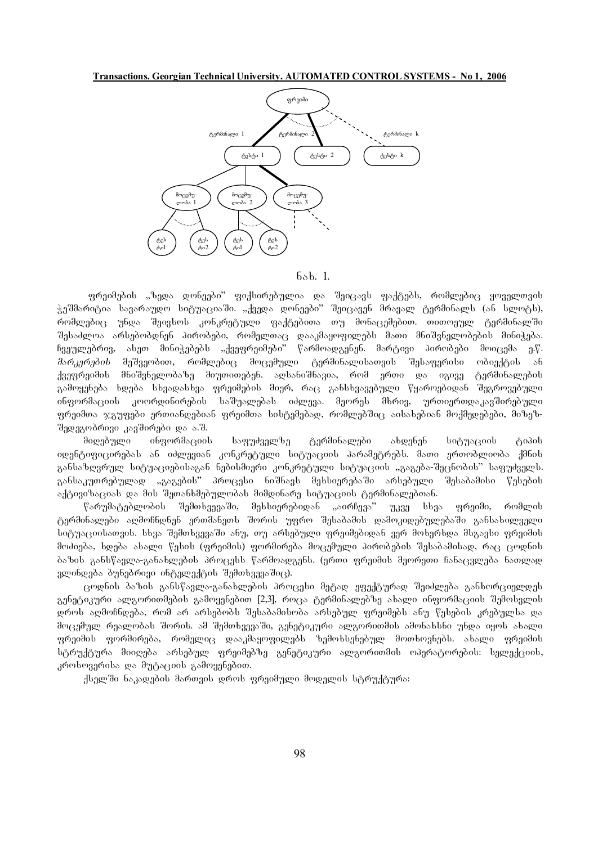## **Transactions. Georgian Technical University. AUTOMATED CONTROL SYSTEMS - No 1, 2006**



### $65b.$  1.

gრეიმების "ზედა დონეები" ფიქსირებულია და შეიცავს ფაქტებს, რომლებიც ყოველთვის ჭეშმარიტია სავარაუდო სიტუაციაში. "ქვედა დონეები" შეიცავენ მრავალ ტერმინალს (ან სლოტს), რომლებიც უნდა შეივსოს კონკრეტული ფაქტებითა თუ მონაცემებით. თითოეულ ტერმინალში შესაძლოა არსებობდნენ პირობები, რომელთაც დააკმაყოფილებს მათი მნიშვნელობების მინიჭება. ჩვეულებრივ, ასეთ მინიჭებებს "ქვეფრეიმები" წარმოადგენენ. მარტივი პირობები მოიცემა ე.წ. *მარკერების* მეშვეობით, რომლებიც მოცემული ტერმინალისათვის შესაფერისი ობიექტის ან ქვეფრეიმის მნიშვნელობაზე მიუთითებენ. აღსანიშნავია, რომ ერთი და იგივე ტერმინალების გამოყენება ხდება სხვადასხვა ფრეიმების მიერ, რაც განსხვავებული წყაროებიდან შეგროვებული ინფორმაციის კოორდინირების საშუალებას იძლევა. მეორეს მხრივ, ურთიერთდაკავშირებული ფრეიმთა ჯგუფები ერთიანდებიან ფრეიმთა სისტემებად, რომლებშიც აისახებიან მოქმედებები, მიზეზშედეგობრივი კავშირები და ა.შ.

მიღებული ინფორმაციის საფუძველზე ტერმინალები ახდენენ სიტუაციის ტიპის იდენტიფიცირებას ან იძლევიან კონკრეტული სიტუაციის პარამეტრებს. მათი ერთობლიობა ქმნის განსაზღვრულ სიტუაციებისაგან ნებისმიერი კონკრეტული სიტუაციის "გაგება-შეცნობის" საფუძველს. განსაკუთრებულად "გაგების" პროცესი ნიშნავს მეხსიერებაში არსებული შესაბამისი წესების აქტივიზაციას და მის შეთანხმებულობას მიმდინარე სიტუაციის ტერმინალებთან.

 $\beta$ არუმატებლობის შემთხვევაში, მეხსიერებიდან "აირჩევა" უკვე სხვა ფრეიმი, რომლის ტერმინალები აღმოჩნდნენ ერთმანეთს შორის უფრო შესაბამის დამოკიდებულებაში განსახილველი სიტუაციისათვის. სხვა შემთხვევაში ანუ, თუ არსებული ფრეიმებიდან ვერ მოხერხდა მსგავსი ფრეიმის მოძიება, ხდება ახალი წესის (ფრეიმის) ფორმირება მოცემული პირობების შესაბამისად, რაც ცოდნის ბაზის განსწავლა-განახლების პროცესს წარმოადგენს. (ერთი ფრეიმის მეორეთი ჩანაცვლება ნათლად  $g$ ლინდება ბუნებრივი ინტელექტის შემთხვევაშიც).

ცოდნის ბაზის განსწავლა-განახლების პროცესი მეტად ეფექტურად შეიძლება განხორციელდეს გენეტიკური ალგორითმების გამოყენებით [2,3], როცა ტერმინალებზე ახალი ინფორმაციის შემოსვლის დროს აღმოჩნდება, რომ არ არსებობს შესაბამისობა არსებულ ფრეიმებს ანუ წესების კრებულსა და მოცემულ რეალობას შორის. ამ შემთხვევაში, გენეტიკური ალგორითმის ამონახსნი უნდა იყოს ახალი  $q$ რეიმის ფორმირება, რომელიც დააკმაყოფილებს ზემოხსენებულ მოთხოვნებს. ახალი ფრეიმის სტრუქტურა მიიღება არსებულ ფრეიმებზე გენეტიკური ალგორითმის ოპერატორების: სელექციის, კროსოვერისა და მუტაციის გამოყენებით.

ქსელში ნაკადების მართვის დროს ფრეიმული მოდელის სტრუქტურა: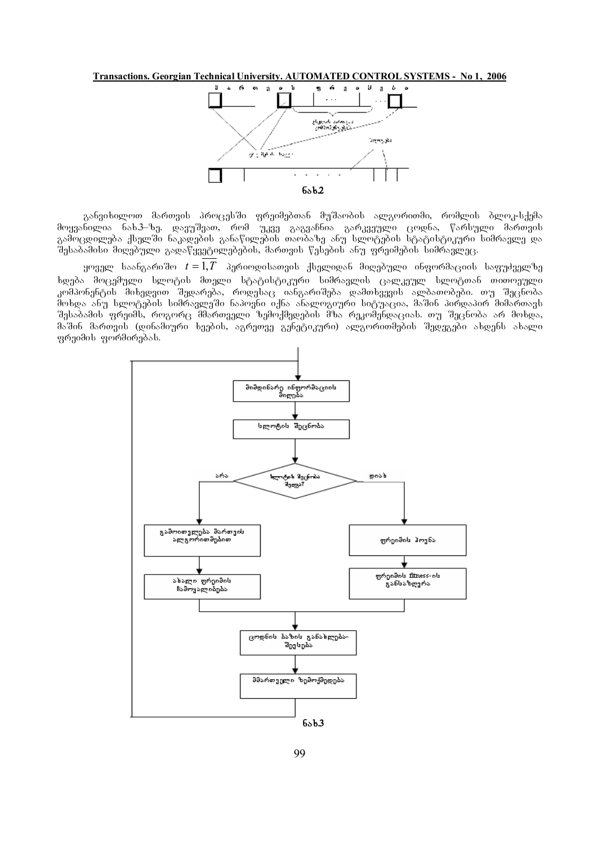**Transactions. Georgian Technical University. AUTOMATED CONTROL SYSTEMS - No 1, 2006**



განვიხილოთ მართვის პროცესში ფრეიმებთან მუშაობის ალგორითმი, რომლის ბლოკ-სქემა მოყვანილია ნახ.3–ზე. დავუშვათ, რომ უკვე გაგვაჩნია გარკვეული ცოდნა, წარსული მართვის გამოცდილება ქსელში ნაკადების განაწილების თაობაზე ანუ სლოტების სტატისტიკური სიმრავლე და შესაბამისი მიღებული გადაწყვეტილებების, მართვის წესების ანუ ფრეიმების სიმრავლეც.

 $y$ ოველ საანგარიშო  $t = 1, T$  პერიოდისათვის ქსელიდან მიღებული ინფორმაციის საფუძველზე ხდება მოცემული სლოტის მთელი სტატისტიკური სიმრავლის ცალკეულ სლოტთან თითოეული კომპონენტის მიხედვით შედარება, როდესაც იანგარიშება დამთხვევის ალბათობები. თუ შეცნობა მოხდა ანუ სლოტების სიმრავლეში ნაპოვნი იქნა ანალოგიური სიტუაცია, მაშინ პირდაპირ მიმართავს შესაბამის ფრეიმს, როგორც მმართველი ზემოქმედების მზა რეკომენდაციას. თუ შეცნობა არ მოხდა, მაშინ მართვის (დინამიური ხეების, აგრეთვე გენეტიკური) ალგორითმების შედეგები ახდენს ახალი ფრეიმის ფორმირებას.

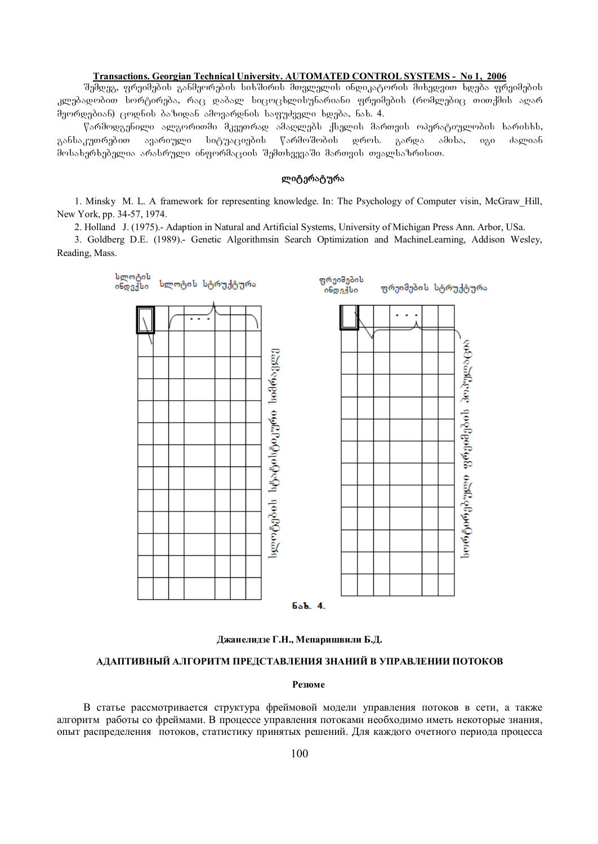### **Transactions. Georgian Technical University. AUTOMATED CONTROL SYSTEMS - No 1, 2006**

შემდეგ, ფრეიმების განმეორების სიხშირის მთვლელის ინდიკატორის მიხედვით ხდება ფრეიმების კლებადობით სორტირება, რაც დაბალ სიცოცხლისუნარიანი ფრეიმების (რომლებიც თითქმის აღარ  $\theta$ ეორდებიან) ცოდნის ბაზიდან ამოვარდნის საფუძველი ხდება, ნახ. 4.

 $\nabla$ არმოდგენილი ალგორითმი მკვეთრად ამაღლებს ქსელის მართვის ოპერატიულობის ხარისხს, განსაკუთრებით ავარიული სიტუაციების წარმოშობის დროს. გარდა ამისა, იგი ძალიან მოსახერხებელია არასრული ინფორმაციის შემთხვევაში მართვის თვალსაზრისით.

### **ლიტერატურა**

1. Minsky M. L. A framework for representing knowledge. In: The Psychology of Computer visin, McGraw\_Hill, New York, pp. 34-57, 1974.

2. Holland J. (1975).- Adaption in Natural and Artificial Systems, University of Michigan Press Ann. Arbor, USa.

3. Goldberg D.E. (1989).- Genetic Algorithmsin Search Optimization and MachineLearning, Addison Wesley, Reading, Mass.





### **АДАПТИВНЫЙ АЛГОРИТМ ПРЕДСТАВЛЕНИЯ ЗНАНИЙ В УПРАВЛЕНИИ ПОТОКОВ**

#### **Резюмe**

В статье рассмотривается структура фреймовой модели управления потоков в сети, а также алгоритм работы со фреймами. В процессе управления потоками необходимо иметь некоторые знания, опыт распределения потоков, статистику принятых решений. Для каждого очетного периода процесса